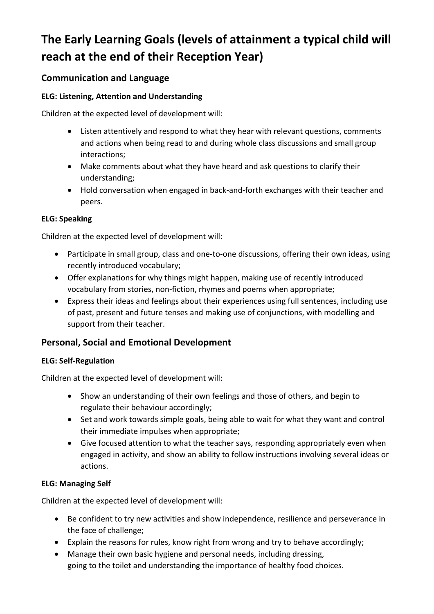# **The Early Learning Goals (levels of attainment a typical child will reach at the end of their Reception Year)**

# **Communication and Language**

# **ELG: Listening, Attention and Understanding**

Children at the expected level of development will:

- Listen attentively and respond to what they hear with relevant questions, comments and actions when being read to and during whole class discussions and small group interactions;
- Make comments about what they have heard and ask questions to clarify their understanding;
- Hold conversation when engaged in back-and-forth exchanges with their teacher and peers.

## **ELG: Speaking**

Children at the expected level of development will:

- Participate in small group, class and one-to-one discussions, offering their own ideas, using recently introduced vocabulary;
- Offer explanations for why things might happen, making use of recently introduced vocabulary from stories, non-fiction, rhymes and poems when appropriate;
- Express their ideas and feelings about their experiences using full sentences, including use of past, present and future tenses and making use of conjunctions, with modelling and support from their teacher.

# **Personal, Social and Emotional Development**

## **ELG: Self-Regulation**

Children at the expected level of development will:

- Show an understanding of their own feelings and those of others, and begin to regulate their behaviour accordingly;
- Set and work towards simple goals, being able to wait for what they want and control their immediate impulses when appropriate;
- Give focused attention to what the teacher says, responding appropriately even when engaged in activity, and show an ability to follow instructions involving several ideas or actions.

## **ELG: Managing Self**

Children at the expected level of development will:

- Be confident to try new activities and show independence, resilience and perseverance in the face of challenge;
- Explain the reasons for rules, know right from wrong and try to behave accordingly;
- Manage their own basic hygiene and personal needs, including dressing, going to the toilet and understanding the importance of healthy food choices.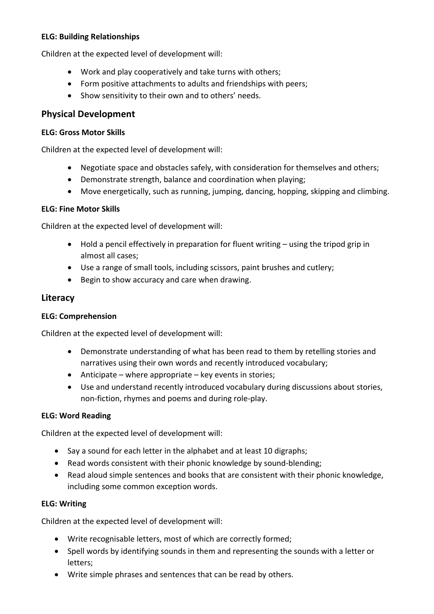#### **ELG: Building Relationships**

Children at the expected level of development will:

- Work and play cooperatively and take turns with others;
- Form positive attachments to adults and friendships with peers;
- Show sensitivity to their own and to others' needs.

## **Physical Development**

#### **ELG: Gross Motor Skills**

Children at the expected level of development will:

- Negotiate space and obstacles safely, with consideration for themselves and others;
- Demonstrate strength, balance and coordination when playing;
- Move energetically, such as running, jumping, dancing, hopping, skipping and climbing.

#### **ELG: Fine Motor Skills**

Children at the expected level of development will:

- Hold a pencil effectively in preparation for fluent writing using the tripod grip in almost all cases;
- Use a range of small tools, including scissors, paint brushes and cutlery;
- Begin to show accuracy and care when drawing.

## **Literacy**

## **ELG: Comprehension**

Children at the expected level of development will:

- Demonstrate understanding of what has been read to them by retelling stories and narratives using their own words and recently introduced vocabulary;
- Anticipate where appropriate key events in stories;
- Use and understand recently introduced vocabulary during discussions about stories, non-fiction, rhymes and poems and during role-play.

## **ELG: Word Reading**

Children at the expected level of development will:

- Say a sound for each letter in the alphabet and at least 10 digraphs;
- Read words consistent with their phonic knowledge by sound-blending;
- Read aloud simple sentences and books that are consistent with their phonic knowledge, including some common exception words.

## **ELG: Writing**

Children at the expected level of development will:

- Write recognisable letters, most of which are correctly formed;
- Spell words by identifying sounds in them and representing the sounds with a letter or letters;
- Write simple phrases and sentences that can be read by others.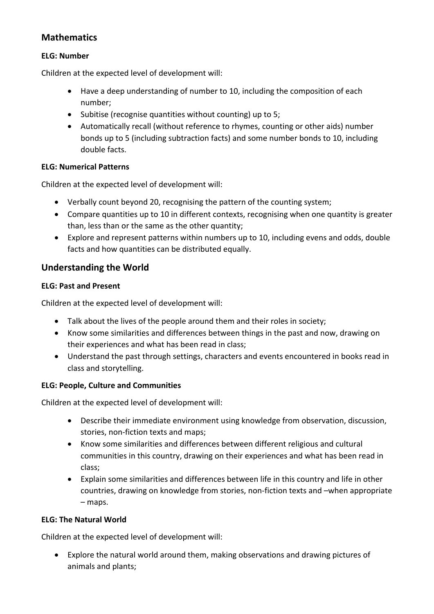# **Mathematics**

## **ELG: Number**

Children at the expected level of development will:

- Have a deep understanding of number to 10, including the composition of each number;
- Subitise (recognise quantities without counting) up to 5;
- Automatically recall (without reference to rhymes, counting or other aids) number bonds up to 5 (including subtraction facts) and some number bonds to 10, including double facts.

#### **ELG: Numerical Patterns**

Children at the expected level of development will:

- Verbally count beyond 20, recognising the pattern of the counting system;
- Compare quantities up to 10 in different contexts, recognising when one quantity is greater than, less than or the same as the other quantity;
- Explore and represent patterns within numbers up to 10, including evens and odds, double facts and how quantities can be distributed equally.

# **Understanding the World**

#### **ELG: Past and Present**

Children at the expected level of development will:

- Talk about the lives of the people around them and their roles in society;
- Know some similarities and differences between things in the past and now, drawing on their experiences and what has been read in class;
- Understand the past through settings, characters and events encountered in books read in class and storytelling.

## **ELG: People, Culture and Communities**

Children at the expected level of development will:

- Describe their immediate environment using knowledge from observation, discussion, stories, non-fiction texts and maps;
- Know some similarities and differences between different religious and cultural communities in this country, drawing on their experiences and what has been read in class;
- Explain some similarities and differences between life in this country and life in other countries, drawing on knowledge from stories, non-fiction texts and –when appropriate – maps.

#### **ELG: The Natural World**

Children at the expected level of development will:

• Explore the natural world around them, making observations and drawing pictures of animals and plants;